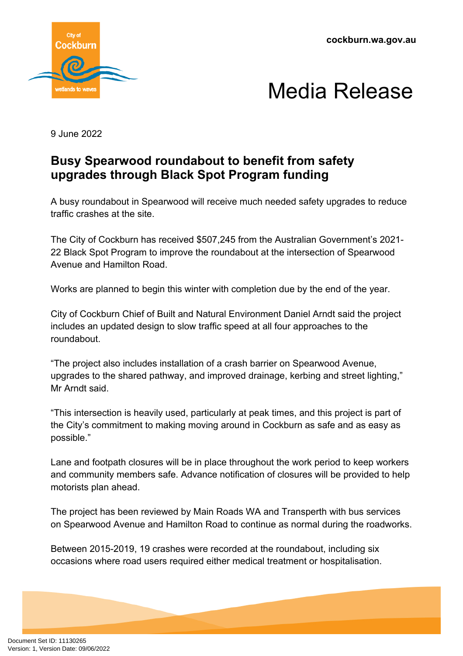**cockburn.wa.gov.au**





9 June 2022

## **Busy Spearwood roundabout to benefit from safety upgrades through Black Spot Program funding**

A busy roundabout in Spearwood will receive much needed safety upgrades to reduce traffic crashes at the site.

The City of Cockburn has received \$507,245 from the Australian Government's 2021- 22 Black Spot Program to improve the roundabout at the intersection of Spearwood Avenue and Hamilton Road.

Works are planned to begin this winter with completion due by the end of the year.

City of Cockburn Chief of Built and Natural Environment Daniel Arndt said the project includes an updated design to slow traffic speed at all four approaches to the roundabout.

"The project also includes installation of a crash barrier on Spearwood Avenue, upgrades to the shared pathway, and improved drainage, kerbing and street lighting," Mr Arndt said.

"This intersection is heavily used, particularly at peak times, and this project is part of the City's commitment to making moving around in Cockburn as safe and as easy as possible."

Lane and footpath closures will be in place throughout the work period to keep workers and community members safe. Advance notification of closures will be provided to help motorists plan ahead.

The project has been reviewed by Main Roads WA and Transperth with bus services on Spearwood Avenue and Hamilton Road to continue as normal during the roadworks.

Between 2015-2019, 19 crashes were recorded at the roundabout, including six occasions where road users required either medical treatment or hospitalisation.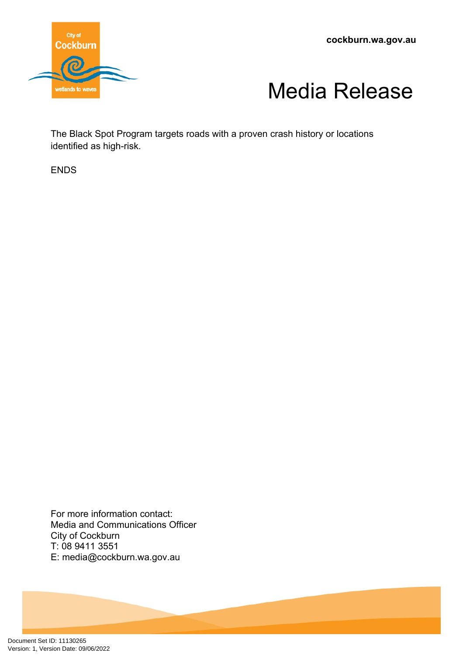**cockburn.wa.gov.au**





The Black Spot Program targets roads with a proven crash history or locations identified as high-risk.

ENDS

For more information contact: Media and Communications Officer City of Cockburn T: 08 9411 3551 E: media@cockburn.wa.gov.au